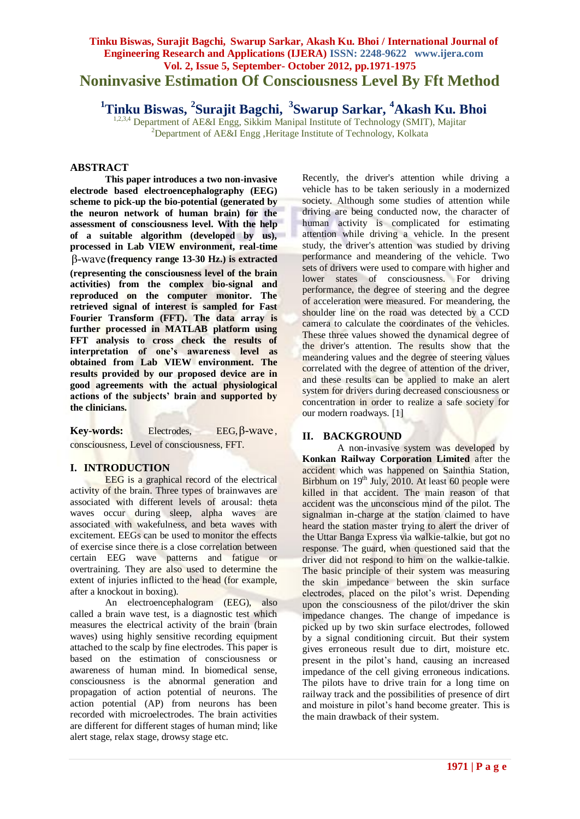# **Tinku Biswas, Surajit Bagchi, Swarup Sarkar, Akash Ku. Bhoi / International Journal of Engineering Research and Applications (IJERA) ISSN: 2248-9622 www.ijera.com Vol. 2, Issue 5, September- October 2012, pp.1971-1975 Noninvasive Estimation Of Consciousness Level By Fft Method**

**<sup>1</sup>Tinku Biswas, <sup>2</sup> Surajit Bagchi, <sup>3</sup> Swarup Sarkar, <sup>4</sup>Akash Ku. Bhoi**

1,2,3,4 Department of AE&I Engg, Sikkim Manipal Institute of Technology (SMIT), Majitar <sup>2</sup>Department of AE&I Engg ,Heritage Institute of Technology, Kolkata

# **ABSTRACT**

**This paper introduces a two non-invasive electrode based electroencephalography (EEG) scheme to pick-up the bio-potential (generated by the neuron network of human brain) for the assessment of consciousness level. With the help of a suitable algorithm (developed by us), processed in Lab VIEW environment, real-time**  β-wave **(frequency range 13-30 Hz.) is extracted (representing the consciousness level of the brain activities) from the complex bio-signal and reproduced on the computer monitor. The retrieved signal of interest is sampled for Fast Fourier Transform (FFT). The data array is further processed in MATLAB platform using FFT analysis to cross check the results of interpretation of one's awareness level as obtained from Lab VIEW environment. The results provided by our proposed device are in good agreements with the actual physiological actions of the subjects' brain and supported by the clinicians.**

Key-words: Electrodes, EEG,  $β$ -wave, consciousness, Level of consciousness, FFT.

#### **I. INTRODUCTION**

EEG is a graphical record of the electrical activity of the brain. Three types of brainwaves are associated with different levels of arousal: theta waves occur during sleep, alpha waves are associated with wakefulness, and beta waves with excitement. EEGs can be used to monitor the effects of exercise since there is a close correlation between certain EEG wave patterns and fatigue or overtraining. They are also used to determine the extent of injuries inflicted to the head (for example, after a knockout in boxing).

An electroencephalogram (EEG), also called a brain wave test, is a diagnostic test which measures the electrical activity of the brain (brain waves) using highly sensitive recording equipment attached to the scalp by fine electrodes. This paper is based on the estimation of consciousness or awareness of human mind. In biomedical sense, consciousness is the abnormal generation and propagation of action potential of neurons. The action potential (AP) from neurons has been recorded with microelectrodes. The brain activities are different for different stages of human mind; like alert stage, relax stage, drowsy stage etc.

Recently, the driver's attention while driving a vehicle has to be taken seriously in a modernized society. Although some studies of attention while driving are being conducted now, the character of human activity is complicated for estimating attention while driving a vehicle. In the present study, the driver's attention was studied by driving performance and meandering of the vehicle. Two sets of drivers were used to compare with higher and lower states of consciousness. For driving performance, the degree of steering and the degree of acceleration were measured. For meandering, the shoulder line on the road was detected by a CCD camera to calculate the coordinates of the vehicles. These three values showed the dynamical degree of the driver's attention. The results show that the meandering values and the degree of steering values correlated with the degree of attention of the driver, and these results can be applied to make an alert system for drivers during decreased consciousness or concentration in order to realize a safe society for our modern roadways. [1]

# **II. BACKGROUND**

A non-invasive system was developed by **Konkan Railway Corporation Limited** after the accident which was happened on Sainthia Station, Birbhum on  $19<sup>th</sup>$  July, 2010. At least 60 people were killed in that accident. The main reason of that accident was the unconscious mind of the pilot. The signalman in-charge at the station claimed to have heard the station master trying to alert the driver of the Uttar Banga Express via walkie-talkie, but got no response. The guard, when questioned said that the driver did not respond to him on the walkie-talkie. The basic principle of their system was measuring the skin impedance between the skin surface electrodes, placed on the pilot's wrist. Depending upon the consciousness of the pilot/driver the skin impedance changes. The change of impedance is picked up by two skin surface electrodes, followed by a signal conditioning circuit. But their system gives erroneous result due to dirt, moisture etc. present in the pilot"s hand, causing an increased impedance of the cell giving erroneous indications. The pilots have to drive train for a long time on railway track and the possibilities of presence of dirt and moisture in pilot's hand become greater. This is the main drawback of their system.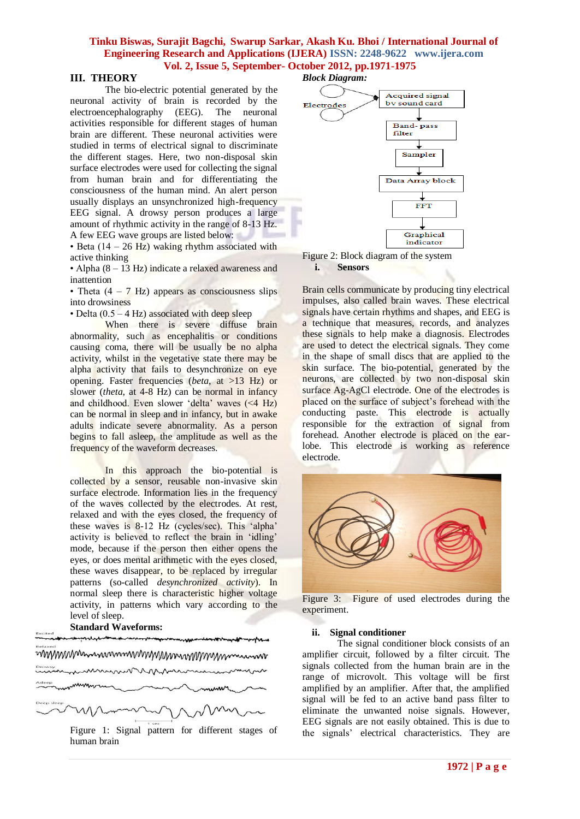#### **III. THEORY**

The bio-electric potential generated by the neuronal activity of brain is recorded by the electroencephalography (EEG). The neuronal activities responsible for different stages of human brain are different. These neuronal activities were studied in terms of electrical signal to discriminate the different stages. Here, two non-disposal skin surface electrodes were used for collecting the signal from human brain and for differentiating the consciousness of the human mind. An alert person usually displays an unsynchronized high-frequency EEG signal. A drowsy person produces a large amount of rhythmic activity in the range of 8-13 Hz. A few EEG wave groups are listed below:

• Beta  $(14 – 26 Hz)$  waking rhythm associated with active thinking

• Alpha (8 – 13 Hz) indicate a relaxed awareness and inattention

• Theta  $(4 - 7$  Hz) appears as consciousness slips into drowsiness

• Delta  $(0.5 - 4 \text{ Hz})$  associated with deep sleep

When there is severe diffuse brain abnormality, such as encephalitis or conditions causing coma, there will be usually be no alpha activity, whilst in the vegetative state there may be alpha activity that fails to desynchronize on eye opening. Faster frequencies (*beta*, at >13 Hz) or slower (*theta*, at 4-8 Hz) can be normal in infancy and childhood. Even slower 'delta' waves  $(\leq 4 \text{ Hz})$ can be normal in sleep and in infancy, but in awake adults indicate severe abnormality. As a person begins to fall asleep, the amplitude as well as the frequency of the waveform decreases.

In this approach the bio-potential is collected by a sensor, reusable non-invasive skin surface electrode. Information lies in the frequency of the waves collected by the electrodes. At rest, relaxed and with the eyes closed, the frequency of these waves is 8-12 Hz (cycles/sec). This "alpha" activity is believed to reflect the brain in "idling" mode, because if the person then either opens the eyes, or does mental arithmetic with the eyes closed, these waves disappear, to be replaced by irregular patterns (so-called *desynchronized activity*). In normal sleep there is characteristic higher voltage activity, in patterns which vary according to the level of sleep. **Standard Waveforms:**

# mmmmmmmmmmmmmmmmm mmmmmm

Figure 1: Signal pattern for different stages of human brain

#### *Block Diagram:*





Brain cells communicate by producing tiny electrical impulses, also called brain waves. These electrical signals have certain rhythms and shapes, and EEG is a technique that measures, records, and analyzes these signals to help make a diagnosis. Electrodes are used to detect the electrical signals. They come in the shape of small discs that are applied to the skin surface. The bio-potential, generated by the neurons, are collected by two non-disposal skin surface Ag-AgCl electrode. One of the electrodes is placed on the surface of subject"s forehead with the conducting paste. This electrode is actually responsible for the extraction of signal from forehead. Another electrode is placed on the earlobe. This electrode is working as reference electrode.



Figure 3: Figure of used electrodes during the experiment.

#### **ii. Signal conditioner**

The signal conditioner block consists of an amplifier circuit, followed by a filter circuit. The signals collected from the human brain are in the range of microvolt. This voltage will be first amplified by an amplifier. After that, the amplified signal will be fed to an active band pass filter to eliminate the unwanted noise signals. However, EEG signals are not easily obtained. This is due to the signals" electrical characteristics. They are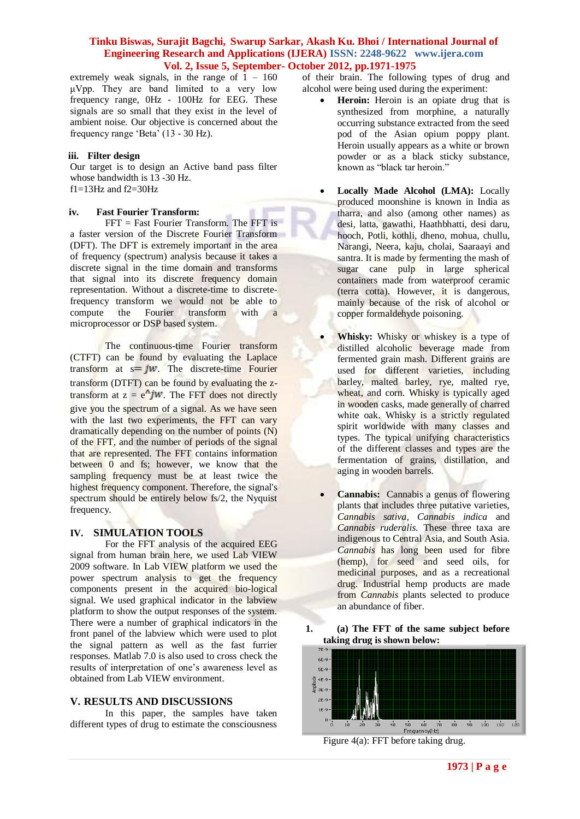extremely weak signals, in the range of  $1 - 160$ μVpp. They are band limited to a very low frequency range, 0Hz - 100Hz for EEG. These signals are so small that they exist in the level of ambient noise. Our objective is concerned about the frequency range "Beta" (13 - 30 Hz).

#### **iii. Filter design**

Our target is to design an Active band pass filter whose bandwidth is 13 -30 Hz.  $f1=13Hz$  and  $f2=30Hz$ 

#### **iv. Fast Fourier Transform:**

FFT = Fast Fourier Transform. The FFT is a faster version of the Discrete Fourier Transform (DFT). The DFT is extremely important in the area of frequency (spectrum) analysis because it takes a discrete signal in the time domain and transforms that signal into its discrete frequency domain representation. Without a discrete-time to discretefrequency transform we would not be able to compute the Fourier transform with a microprocessor or DSP based system.

The continuous-time Fourier transform (CTFT) can be found by evaluating the Laplace transform at  $s = jw$ . The discrete-time Fourier transform (DTFT) can be found by evaluating the ztransform at  $z = e^{\Lambda} jw$ . The FFT does not directly give you the spectrum of a signal. As we have seen with the last two experiments, the FFT can vary dramatically depending on the number of points (N) of the FFT, and the number of periods of the signal that are represented. The FFT contains information between 0 and fs; however, we know that the sampling frequency must be at least twice the highest frequency component. Therefore, the signal's spectrum should be entirely below fs/2, the Nyquist frequency.

# **IV. SIMULATION TOOLS**

For the FFT analysis of the acquired EEG signal from human brain here, we used Lab VIEW 2009 software. In Lab VIEW platform we used the power spectrum analysis to get the frequency components present in the acquired bio-logical signal. We used graphical indicator in the labview platform to show the output responses of the system. There were a number of graphical indicators in the front panel of the labview which were used to plot the signal pattern as well as the fast furrier responses. Matlab 7.0 is also used to cross check the results of interpretation of one"s awareness level as obtained from Lab VIEW environment.

# **V. RESULTS AND DISCUSSIONS**

In this paper, the samples have taken different types of drug to estimate the consciousness

of their brain. The following types of drug and alcohol were being used during the experiment:

- **Heroin:** Heroin is an opiate drug that is synthesized from morphine, a naturally occurring substance extracted from the seed pod of the Asian opium poppy plant. Heroin usually appears as a white or brown powder or as a black sticky substance, known as "black tar heroin."
- **Locally Made Alcohol (LMA):** Locally produced moonshine is known in India as [tharra,](http://en.wikipedia.org/wiki/Tharra) and also (among other names) as [desi,](http://en.wikipedia.org/wiki/Desi) [latta,](http://en.wikipedia.org/wiki/Latta) [gawathi,](http://en.wikipedia.org/w/index.php?title=Gawathi&action=edit&redlink=1) [Haathbhatti,](http://en.wikipedia.org/w/index.php?title=Haathbhatti&action=edit&redlink=1) [desi daru,](http://en.wikipedia.org/w/index.php?title=Desi_daru&action=edit&redlink=1) hooch, [Potli,](http://en.wikipedia.org/w/index.php?title=Potli&action=edit&redlink=1) [kothli,](http://en.wikipedia.org/w/index.php?title=Kothli&action=edit&redlink=1) [dheno,](http://en.wikipedia.org/w/index.php?title=Dheno&action=edit&redlink=1) [mohua,](http://en.wikipedia.org/wiki/Mohua) [chullu,](http://en.wikipedia.org/wiki/Chullu) [Narangi,](http://en.wikipedia.org/wiki/Narangi) [Neera,](http://en.wikipedia.org/wiki/Neera) [kaju,](http://en.wikipedia.org/w/index.php?title=Kaju&action=edit&redlink=1) [cholai,](http://en.wikipedia.org/w/index.php?title=Cholai&action=edit&redlink=1) Saaraayi and [santra.](http://en.wikipedia.org/w/index.php?title=Santra&action=edit&redlink=1) It is made by fermenting the mash of sugar cane pulp in large spherical containers made from waterproof [ceramic](http://en.wikipedia.org/wiki/Ceramic) [\(terra cotta\)](http://en.wikipedia.org/wiki/Terra_cotta). However, it is dangerous, mainly because of the risk of alcohol or copper formaldehyde poisoning.
- **Whisky:** Whisky or whiskey is a type of [distilled alcoholic beverage](http://en.wikipedia.org/wiki/Distilled_beverage) made from [fermented](http://en.wikipedia.org/wiki/Fermentation_(food)) [grain](http://en.wikipedia.org/wiki/Grain) [mash.](http://en.wikipedia.org/wiki/Mashing) Different grains are used for different varieties, including [barley,](http://en.wikipedia.org/wiki/Barley) [malted barley,](http://en.wikipedia.org/wiki/Malt) [rye,](http://en.wikipedia.org/wiki/Rye) malted rye, [wheat,](http://en.wikipedia.org/wiki/Wheat) and [corn.](http://en.wikipedia.org/wiki/Corn) Whisky is typically aged in wooden [casks,](http://en.wikipedia.org/wiki/Cask) made generally of charred [white oak.](http://en.wikipedia.org/wiki/White_oak) Whisky is a strictly regulated spirit worldwide with many classes and types. The typical unifying characteristics of the different classes and types are the fermentation of grains, distillation, and aging in wooden barrels.
- **Cannabis:** Cannabis a [genus](http://en.wikipedia.org/wiki/Genus) of [flowering](http://en.wikipedia.org/wiki/Flowering_plant)  [plants](http://en.wikipedia.org/wiki/Flowering_plant) that includes three putative varieties, *[Cannabis sativa,](http://en.wikipedia.org/wiki/Cannabis_sativa) [Cannabis indica](http://en.wikipedia.org/wiki/Cannabis_indica)* and *[Cannabis ruderalis](http://en.wikipedia.org/wiki/Cannabis_ruderalis)*. These three [taxa](http://en.wikipedia.org/wiki/Taxa) are [indigenous](http://en.wikipedia.org/wiki/Indigenous_(ecology)) t[o Central Asia,](http://en.wikipedia.org/wiki/Central_Asia) an[d South Asia.](http://en.wikipedia.org/wiki/South_Asia) *Cannabis* has long been used for fibre [\(hemp\)](http://en.wikipedia.org/wiki/Hemp), for seed and seed oils, for [medicinal purposes,](http://en.wikipedia.org/wiki/Medical_cannabis) and as a [recreational](http://en.wikipedia.org/wiki/Cannabis#Recreational_use)  [drug.](http://en.wikipedia.org/wiki/Cannabis#Recreational_use) Industrial [hemp](http://en.wikipedia.org/wiki/Hemp) products are made from *Cannabis* plants selected to produce an abundance of fiber.





Figure 4(a): FFT before taking drug.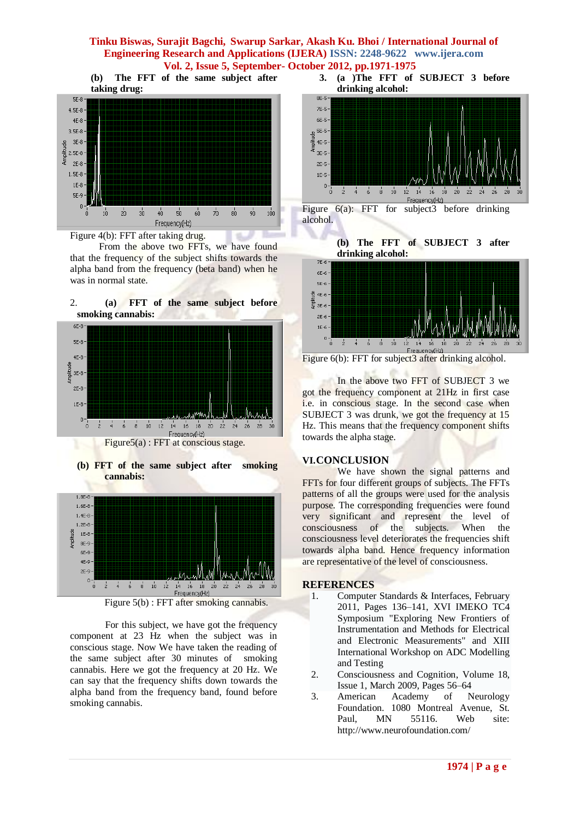**(b) The FFT of the same subject after taking drug:**  $SE-8$  $4.5E-8 4E-8$  $3.5E-8$  $3E-8$ Amplitude  $2.5E-8 2E-8$  $1.5E-8 1E-8$  $SE-9 \overline{0}$  $\frac{1}{20}$  $\frac{1}{70}$  $\frac{1}{90}$  $30$  $40$  $50<sub>1</sub>$  $60^{\circ}$  $\overline{80}$  $100$ ń  $10$ Frequency(Hz).



 From the above two FFTs, we have found that the frequency of the subject shifts towards the alpha band from the frequency (beta band) when he was in normal state.

÷.



**(b) FFT of the same subject after smoking cannabis:**



Figure 5(b) : FFT after smoking cannabis.

For this subject, we have got the frequency component at 23 Hz when the subject was in conscious stage. Now We have taken the reading of the same subject after 30 minutes of smoking cannabis. Here we got the frequency at 20 Hz. We can say that the frequency shifts down towards the alpha band from the frequency band, found before smoking cannabis.





Figure 6(a): FFT for subject3 before drinking alcohol.

**(b) The FFT of SUBJECT 3 after drinking alcohol:**



Figure 6(b): FFT for subject3 after drinking alcohol.

In the above two FFT of SUBJECT 3 we got the frequency component at 21Hz in first case i.e. in conscious stage. In the second case when SUBJECT 3 was drunk, we got the frequency at 15 Hz. This means that the frequency component shifts towards the alpha stage.

# **VI.CONCLUSION**

We have shown the signal patterns and FFTs for four different groups of subjects. The FFTs patterns of all the groups were used for the analysis purpose. The corresponding frequencies were found very significant and represent the level of consciousness of the subjects. When the consciousness level deteriorates the frequencies shift towards alpha band. Hence frequency information are representative of the level of consciousness.

# **REFERENCES**

- 1. Computer Standards & [Interfaces,](http://www.sciencedirect.com/science/journal/09205489) February 2011, Pages 136–141, XVI IMEKO TC4 Symposium "Exploring New Frontiers of Instrumentation and Methods for Electrical and Electronic Measurements" and XIII International Workshop on ADC Modelling and Testing
- 2. [Consciousness](http://www.sciencedirect.com/science/journal/10538100) and Cognition, [Volume 18,](http://www.sciencedirect.com/science/journal/10538100/18/1)  [Issue 1,](http://www.sciencedirect.com/science/journal/10538100/18/1) March 2009, Pages 56–64
- 3. American Academy of Neurology Foundation. 1080 Montreal Avenue, St. Paul, MN 55116. Web site: <http://www.neurofoundation.com/>